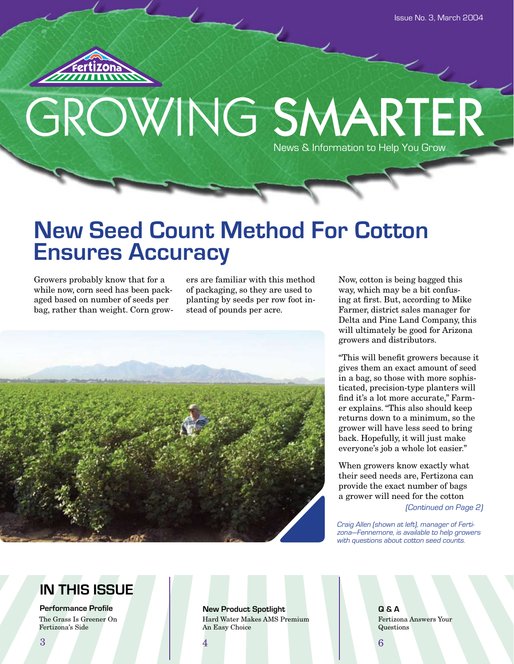

# GROWING SMARTER News & Information to Help You Grow

# **New Seed Count Method For Cotton Ensures Accuracy**

Growers probably know that for a while now, corn seed has been packaged based on number of seeds per bag, rather than weight. Corn grow-

ers are familiar with this method of packaging, so they are used to planting by seeds per row foot instead of pounds per acre.



Now, cotton is being bagged this way, which may be a bit confusing at first. But, according to Mike Farmer, district sales manager for Delta and Pine Land Company, this will ultimately be good for Arizona growers and distributors.

"This will benefit growers because it gives them an exact amount of seed in a bag, so those with more sophisticated, precision-type planters will find it's a lot more accurate," Farmer explains. "This also should keep returns down to a minimum, so the grower will have less seed to bring back. Hopefully, it will just make everyone's job a whole lot easier."

When growers know exactly what their seed needs are, Fertizona can provide the exact number of bags a grower will need for the cotton

(Continued on Page 2)

Craig Allen (shown at left), manager of Fertizona—Fennemore, is available to help growers with questions about cotton seed counts.

## **IN THIS ISSUE**

**Performance Profile** The Grass Is Greener On Fertizona's Side

**New Product Spotlight Q & A** Hard Water Makes AMS Premium An Easy Choice

Fertizona Answers Your Questions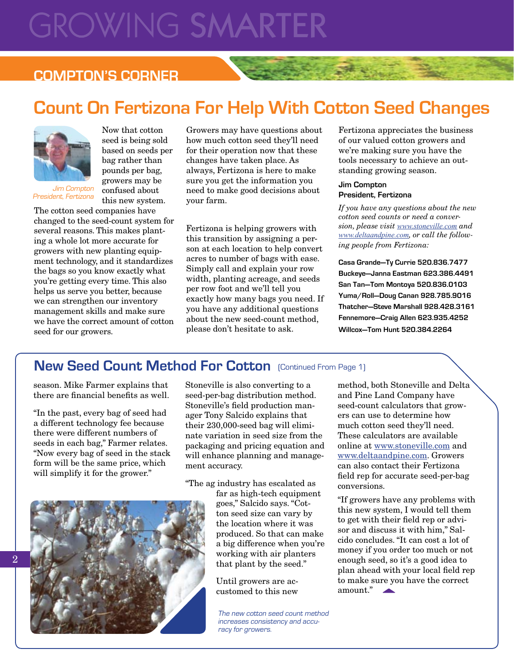# **GROWING SMARTER**

## **COMPTON'S CORNER**

## **Count On Fertizona For Help With Cotton Seed Changes**



President, Fertizona

Now that cotton seed is being sold based on seeds per bag rather than pounds per bag, growers may be confused about this new system.

The cotton seed companies have changed to the seed-count system for several reasons. This makes planting a whole lot more accurate for growers with new planting equipment technology, and it standardizes the bags so you know exactly what you're getting every time. This also helps us serve you better, because we can strengthen our inventory management skills and make sure we have the correct amount of cotton seed for our growers.

Growers may have questions about how much cotton seed they'll need for their operation now that these changes have taken place. As always, Fertizona is here to make sure you get the information you need to make good decisions about your farm.

Fertizona is helping growers with this transition by assigning a person at each location to help convert acres to number of bags with ease. Simply call and explain your row width, planting acreage, and seeds per row foot and we'll tell you exactly how many bags you need. If you have any additional questions about the new seed-count method, please don't hesitate to ask.

Fertizona appreciates the business of our valued cotton growers and we're making sure you have the tools necessary to achieve an outstanding growing season.

#### **Jim Compton President, Fertizona**

*If you have any questions about the new cotton seed counts or need a conversion, please visit www.stoneville.com and www.deltaandpine.com, or call the following people from Fertizona:*

**Casa Grande—Ty Currie 520.836.7477 Buckeye—Janna Eastman 623.386.4491 San Tan—Tom Montoya 520.836.0103 Yuma/Roll—Doug Canan 928.785.9016 Thatcher—Steve Marshall 928.428.3161 Fennemore—Craig Allen 623.935.4252 Willcox—Tom Hunt 520.384.2264**

## New Seed Count Method For Cotton (Continued From Page 1)

season. Mike Farmer explains that there are financial benefits as well.

"In the past, every bag of seed had a different technology fee because there were different numbers of seeds in each bag," Farmer relates. "Now every bag of seed in the stack form will be the same price, which will simplify it for the grower."

Stoneville is also converting to a seed-per-bag distribution method. Stoneville's field production manager Tony Salcido explains that their 230,000-seed bag will eliminate variation in seed size from the packaging and pricing equation and will enhance planning and management accuracy.

"The ag industry has escalated as

far as high-tech equipment goes," Salcido says. "Cotton seed size can vary by the location where it was produced. So that can make a big difference when you're working with air planters that plant by the seed."

Until growers are accustomed to this new

The new cotton seed count method increases consistency and accuracy for growers.

method, both Stoneville and Delta and Pine Land Company have seed-count calculators that growers can use to determine how much cotton seed they'll need. These calculators are available online at www.stoneville.com and www.deltaandpine.com. Growers can also contact their Fertizona field rep for accurate seed-per-bag conversions.

"If growers have any problems with this new system, I would tell them to get with their field rep or advisor and discuss it with him," Salcido concludes. "It can cost a lot of money if you order too much or not enough seed, so it's a good idea to plan ahead with your local field rep to make sure you have the correct amount."  $\mathbb{R}$ 



 $\overline{2}$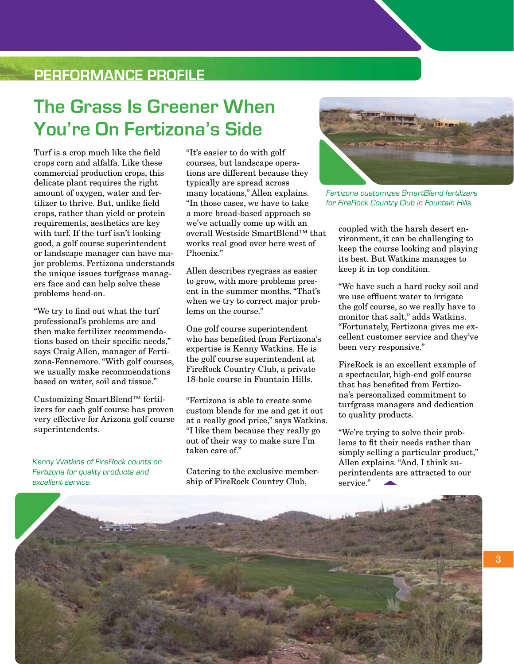## **PERFORMANCE PROFILE**

## **The Grass Is Greener When You're On Fertizona's Side**

Turf is a crop much like the field crops corn and alfalfa. Like these commercial production crops, this delicate plant requires the right amount of oxygen, water and fertilizer to thrive. But, unlike field crops, rather than yield or protein requirements, aesthetics are key with turf. If the turf isn't looking good, a golf course superintendent or landscape manager can have major problems. Fertizona understands the unique issues turfgrass managers face and can help solve these problems head-on.

"We try to find out what the turf professional's problems are and then make fertilizer recommendations based on their specific needs," says Craig Allen, manager of Fertizona-Fennemore. "With golf courses, we usually make recommendations based on water, soil and tissue."

Customizing SmartBlend™ fertilizers for each golf course has proven very effective for Arizona golf course superintendents.

Kenny Watkins of FireRock counts on Fertizona for quality products and excellent service.

"It's easier to do with golf courses, but landscape operations are different because they typically are spread across many locations," Allen explains. "In those cases, we have to take a more broad-based approach so we've actually come up with an overall Westside SmartBlend™ that works real good over here west of Phoenix."

Allen describes ryegrass as easier to grow, with more problems present in the summer months. "That's when we try to correct major problems on the course."

One golf course superintendent who has benefited from Fertizona's expertise is Kenny Watkins. He is the golf course superintendent at FireRock Country Club, a private 18-hole course in Fountain Hills.

"Fertizona is able to create some custom blends for me and get it out at a really good price," says Watkins. "I like them because they really go out of their way to make sure I'm taken care of."

Catering to the exclusive membership of FireRock Country Club,



Fertizona customizes SmartBlend fertilizers for FireRock Country Club in Fountain Hills.

coupled with the harsh desert environment, it can be challenging to keep the course looking and playing its best. But Watkins manages to keep it in top condition.

"We have such a hard rocky soil and we use effluent water to irrigate the golf course, so we really have to monitor that salt," adds Watkins. "Fortunately, Fertizona gives me excellent customer service and they've been very responsive."

FireRock is an excellent example of a spectacular, high-end golf course that has benefited from Fertizona's personalized commitment to turfgrass managers and dedication to quality products.

"We're trying to solve their problems to fit their needs rather than simply selling a particular product," Allen explains. "And, I think superintendents are attracted to our service."

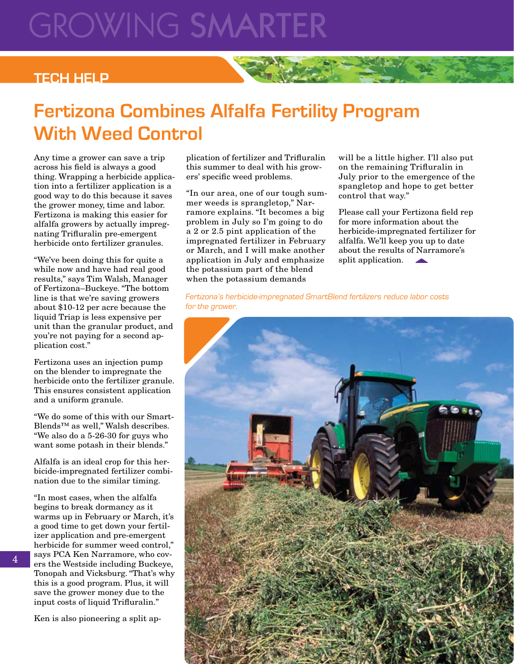# **GROWING SMARTER**

## **TECH HELP**

## **Fertizona Combines Alfalfa Fertility Program With Weed Control**

Any time a grower can save a trip across his field is always a good thing. Wrapping a herbicide application into a fertilizer application is a good way to do this because it saves the grower money, time and labor. Fertizona is making this easier for alfalfa growers by actually impregnating Trifluralin pre-emergent herbicide onto fertilizer granules.

"We've been doing this for quite a while now and have had real good results," says Tim Walsh, Manager of Fertizona–Buckeye. "The bottom line is that we're saving growers about \$10-12 per acre because the liquid Triap is less expensive per unit than the granular product, and you're not paying for a second application cost."

Fertizona uses an injection pump on the blender to impregnate the herbicide onto the fertilizer granule. This ensures consistent application and a uniform granule.

"We do some of this with our Smart-Blends™ as well," Walsh describes. "We also do a 5-26-30 for guys who want some potash in their blends."

Alfalfa is an ideal crop for this herbicide-impregnated fertilizer combination due to the similar timing.

"In most cases, when the alfalfa begins to break dormancy as it warms up in February or March, it's a good time to get down your fertilizer application and pre-emergent herbicide for summer weed control," says PCA Ken Narramore, who covers the Westside including Buckeye, Tonopah and Vicksburg. "That's why this is a good program. Plus, it will save the grower money due to the input costs of liquid Trifluralin."

Ken is also pioneering a split ap-

plication of fertilizer and Trifluralin this summer to deal with his growers' specific weed problems.

"In our area, one of our tough summer weeds is sprangletop," Narramore explains. "It becomes a big problem in July so I'm going to do a 2 or 2.5 pint application of the impregnated fertilizer in February or March, and I will make another application in July and emphasize the potassium part of the blend when the potassium demands

will be a little higher. I'll also put on the remaining Trifluralin in July prior to the emergence of the spangletop and hope to get better control that way."

Please call your Fertizona field rep for more information about the herbicide-impregnated fertilizer for alfalfa. We'll keep you up to date about the results of Narramore's split application.

Fertizona's herbicide-impregnated SmartBlend fertilizers reduce labor costs for the grower.

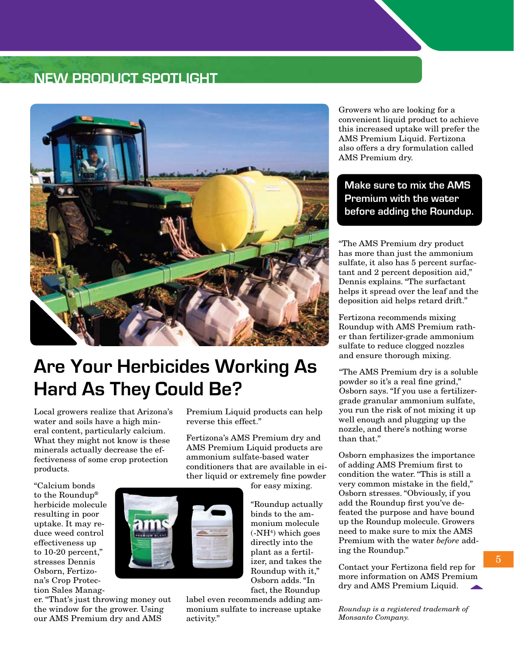## **NEW PRODUCT SPOTLIGHT**



## **Are Your Herbicides Working As Hard As They Could Be?**

Local growers realize that Arizona's water and soils have a high mineral content, particularly calcium. What they might not know is these minerals actually decrease the effectiveness of some crop protection products.

"Calcium bonds to the Roundup® herbicide molecule resulting in poor uptake. It may reduce weed control effectiveness up to 10-20 percent," stresses Dennis Osborn, Fertizona's Crop Protection Sales Manag-

er. "That's just throwing money out the window for the grower. Using our AMS Premium dry and AMS

Premium Liquid products can help reverse this effect."

Fertizona's AMS Premium dry and AMS Premium Liquid products are ammonium sulfate-based water conditioners that are available in either liquid or extremely fine powder

for easy mixing.

"Roundup actually binds to the ammonium molecule  $(-NH<sup>4</sup>)$  which goes directly into the plant as a fertilizer, and takes the Roundup with it," Osborn adds. "In fact, the Roundup

label even recommends adding ammonium sulfate to increase uptake activity."

Growers who are looking for a convenient liquid product to achieve this increased uptake will prefer the AMS Premium Liquid. Fertizona also offers a dry formulation called AMS Premium dry.

### **Make sure to mix the AMS Premium with the water before adding the Roundup.**

"The AMS Premium dry product has more than just the ammonium sulfate, it also has 5 percent surfactant and 2 percent deposition aid," Dennis explains. "The surfactant helps it spread over the leaf and the deposition aid helps retard drift."

Fertizona recommends mixing Roundup with AMS Premium rather than fertilizer-grade ammonium sulfate to reduce clogged nozzles and ensure thorough mixing.

"The AMS Premium dry is a soluble powder so it's a real fine grind," Osborn says. "If you use a fertilizergrade granular ammonium sulfate, you run the risk of not mixing it up well enough and plugging up the nozzle, and there's nothing worse than that."

Osborn emphasizes the importance of adding AMS Premium first to condition the water. "This is still a very common mistake in the field," Osborn stresses. "Obviously, if you add the Roundup first you've defeated the purpose and have bound up the Roundup molecule. Growers need to make sure to mix the AMS Premium with the water *before* adding the Roundup."

Contact your Fertizona field rep for more information on AMS Premium dry and AMS Premium Liquid.

*Roundup is a registered trademark of Monsanto Company.*

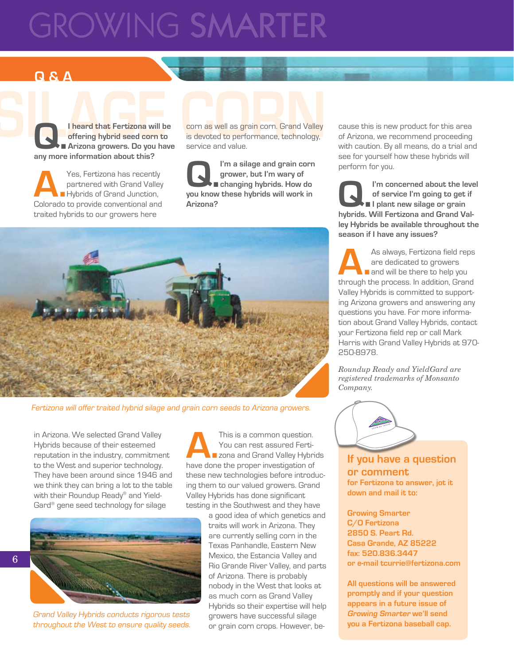# **GROWING SMARTER**

## **Q & A**

**Q. I heard that Fertizona** will be<br>**Q. I** Arizona growers. Do you have **offering hybrid seed corn to Arizona growers. Do you have any more information about this?**

Yes, Fertizona has recently<br>
partnered with Grand Valley<br> **A.** Hybrids of Grand Junction,<br>
Colorado to provide conventional and partnered with Grand Valley Colorado to provide conventional and traited hybrids to our growers here

**SILAGE CORNER CORNER CORNER CORNER CORNER CORNER CORNER CORNER CORNER CORNER CORNER CORNER CORNER CORNER CORNER CORNER CORNER CORNER CORNER CORNER CORNER CORNER CORNER CORNER CORNER CORNER CORNER CORNER CORNER CORNER CORN** corn as well as grain corn. Grand Valley is devoted to performance, technology, service and value.

> **Q.** I'm a silage and grain corn grower, but I'm wary of changing hybrids. How do you know these hybrids will work in **grower, but I'm wary of changing hybrids. How do Arizona?**



Fertizona will offer traited hybrid silage and grain corn seeds to Arizona growers.

in Arizona. We selected Grand Valley Hybrids because of their esteemed reputation in the industry, commitment to the West and superior technology. They have been around since 1946 and we think they can bring a lot to the table with their Roundup Ready® and Yield-Gard® gene seed technology for silage



Grand Valley Hybrids conducts rigorous tests throughout the West to ensure quality seeds.

This is a common question.<br>
You can rest assured Ferti-<br> **A.** zona and Grand Valley Hybrids<br>
have done the proper investigation of You can rest assured Fertihave done the proper investigation of these new technologies before introducing them to our valued growers. Grand Valley Hybrids has done significant testing in the Southwest and they have

> a good idea of which genetics and traits will work in Arizona. They are currently selling corn in the Texas Panhandle, Eastern New Mexico, the Estancia Valley and Rio Grande River Valley, and parts of Arizona. There is probably nobody in the West that looks at as much corn as Grand Valley Hybrids so their expertise will help growers have successful silage or grain corn crops. However, be-

cause this is new product for this area of Arizona, we recommend proceeding with caution. By all means, do a trial and see for yourself how these hybrids will perform for you.

I'm concerned about the level<br>of service I'm going to get if<br>I plant new silage or grain<br>hybrids Will Fertizona and Grand Val**of service I'm going to get if I plant new silage or grain hybrids. Will Fertizona and Grand Valley Hybrids be available throughout the season if I have any issues?**

As always, Fertizona field reps<br>
are dedicated to growers<br>
and will be there to help you<br>
through the process in addition Grand are dedicated to growers through the process. In addition, Grand Valley Hybrids is committed to supporting Arizona growers and answering any questions you have. For more information about Grand Valley Hybrids, contact your Fertizona field rep or call Mark Harris with Grand Valley Hybrids at 970- 250-8978.

*Roundup Ready and YieldGard are registered trademarks of Monsanto Company.*



**If you have a question or comment for Fertizona to answer, jot it down and mail it to:**

**Growing Smarter C/O Fertizona 2850 S. Peart Rd. Casa Grande, AZ 85222 fax: 520.836.3447 or e-mail tcurrie@fertizona.com**

**All questions will be answered promptly and if your question appears in a future issue of Growing Smarter we'll send you a Fertizona baseball cap.**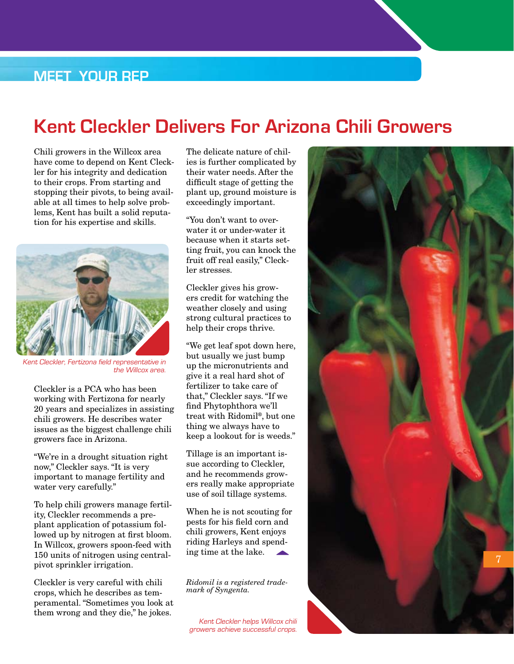## **MEET YOUR REP**

## **Kent Cleckler Delivers For Arizona Chili Growers**

Chili growers in the Willcox area have come to depend on Kent Cleckler for his integrity and dedication to their crops. From starting and stopping their pivots, to being available at all times to help solve problems, Kent has built a solid reputation for his expertise and skills.



Kent Cleckler, Fertizona field representative in the Willcox area.

Cleckler is a PCA who has been working with Fertizona for nearly 20 years and specializes in assisting chili growers. He describes water issues as the biggest challenge chili growers face in Arizona.

"We're in a drought situation right now," Cleckler says. "It is very important to manage fertility and water very carefully."

To help chili growers manage fertility, Cleckler recommends a preplant application of potassium followed up by nitrogen at first bloom. In Willcox, growers spoon-feed with 150 units of nitrogen using centralpivot sprinkler irrigation.

Cleckler is very careful with chili crops, which he describes as temperamental. "Sometimes you look at them wrong and they die," he jokes.

The delicate nature of chilies is further complicated by their water needs. After the difficult stage of getting the plant up, ground moisture is exceedingly important.

"You don't want to overwater it or under-water it because when it starts setting fruit, you can knock the fruit off real easily," Cleckler stresses.

Cleckler gives his growers credit for watching the weather closely and using strong cultural practices to help their crops thrive.

"We get leaf spot down here, but usually we just bump up the micronutrients and give it a real hard shot of fertilizer to take care of that," Cleckler says. "If we find Phytophthora we'll treat with Ridomil®, but one thing we always have to keep a lookout for is weeds."

Tillage is an important issue according to Cleckler, and he recommends growers really make appropriate use of soil tillage systems.

When he is not scouting for pests for his field corn and chili growers, Kent enjoys riding Harleys and spending time at the lake.

*Ridomil is a registered trade- mark of Syngenta.*